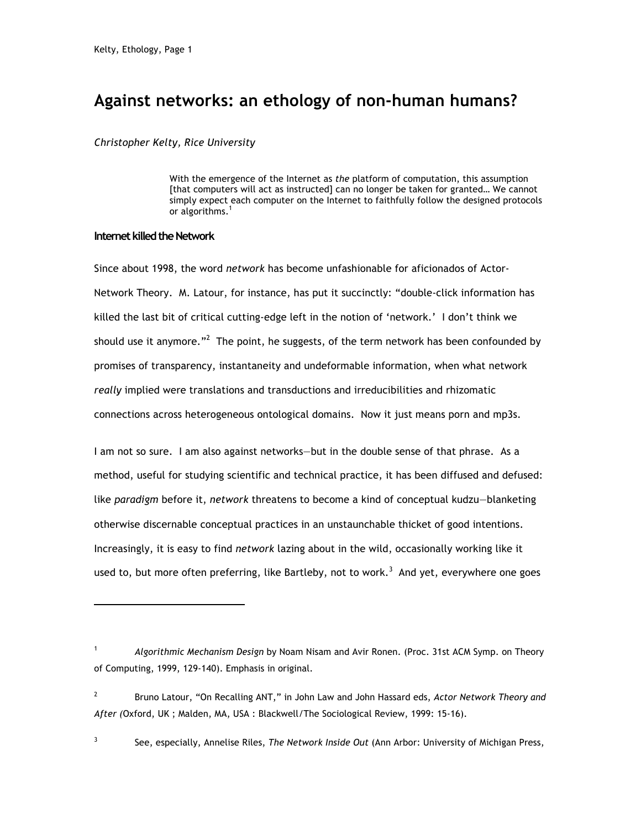# **Against networks: an ethology of non-human humans?**

# *Christopher Kelty, Rice University*

With the emergence of the Internet as *the* platform of computation, this assumption [that computers will act as instructed] can no longer be taken for granted... We cannot simply expect each computer on the Internet to faithfully follow the designed protocols or algorithms.<sup>1</sup>

# **Internet killed the Network**

l

Since about 1998, the word *network* has become unfashionable for aficionados of Actor-Network Theory. M. Latour, for instance, has put it succinctly: "double-click information has killed the last bit of critical cutting-edge left in the notion of 'network.' I don't think we should use it anymore."<sup>2</sup> The point, he suggests, of the term network has been confounded by promises of transparency, instantaneity and undeformable information, when what network *really* implied were translations and transductions and irreducibilities and rhizomatic connections across heterogeneous ontological domains. Now it just means porn and mp3s.

I am not so sure. I am also against networks—but in the double sense of that phrase. As a method, useful for studying scientific and technical practice, it has been diffused and defused: like *paradigm* before it, *network* threatens to become a kind of conceptual kudzu—blanketing otherwise discernable conceptual practices in an unstaunchable thicket of good intentions. Increasingly, it is easy to find *network* lazing about in the wild, occasionally working like it used to, but more often preferring, like Bartleby, not to work.<sup>3</sup> And yet, everywhere one goes

3 See, especially, Annelise Riles, *The Network Inside Out* (Ann Arbor: University of Michigan Press,

<sup>1</sup> *Algorithmic Mechanism Design* by Noam Nisam and Avir Ronen. (Proc. 31st ACM Symp. on Theory of Computing, 1999, 129-140). Emphasis in original.

<sup>2</sup> Bruno Latour, "On Recalling ANT," in John Law and John Hassard eds, *Actor Network Theory and After (*Oxford, UK ; Malden, MA, USA : Blackwell/The Sociological Review, 1999: 15-16).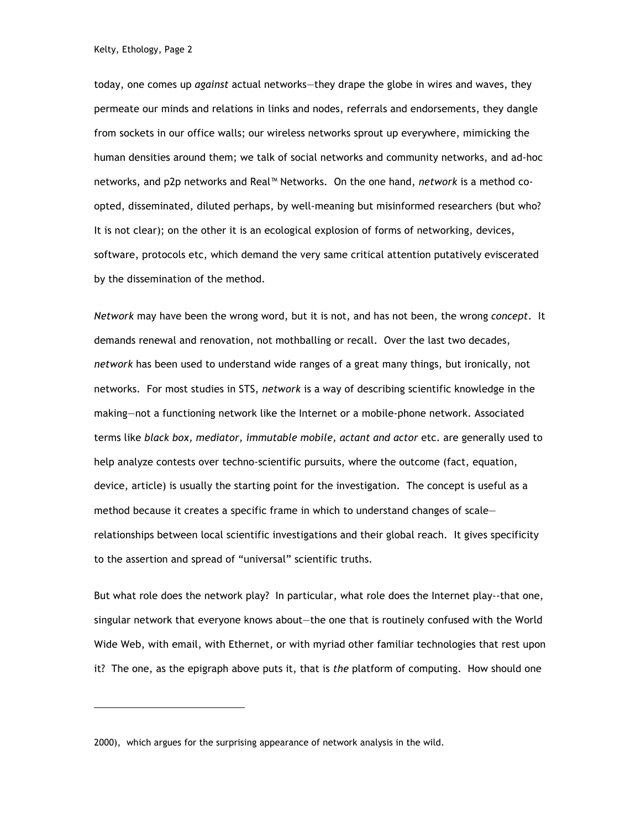l

today, one comes up *against* actual networks—they drape the globe in wires and waves, they permeate our minds and relations in links and nodes, referrals and endorsements, they dangle from sockets in our office walls; our wireless networks sprout up everywhere, mimicking the human densities around them; we talk of social networks and community networks, and ad-hoc networks, and p2p networks and Real™ Networks. On the one hand, *network* is a method coopted, disseminated, diluted perhaps, by well-meaning but misinformed researchers (but who? It is not clear); on the other it is an ecological explosion of forms of networking, devices, software, protocols etc, which demand the very same critical attention putatively eviscerated by the dissemination of the method.

*Network* may have been the wrong word, but it is not, and has not been, the wrong *concept*. It demands renewal and renovation, not mothballing or recall. Over the last two decades, *network* has been used to understand wide ranges of a great many things, but ironically, not networks. For most studies in STS, *network* is a way of describing scientific knowledge in the making—not a functioning network like the Internet or a mobile-phone network. Associated terms like *black box, mediator, immutable mobile, actant and actor* etc. are generally used to help analyze contests over techno-scientific pursuits, where the outcome (fact, equation, device, article) is usually the starting point for the investigation. The concept is useful as a method because it creates a specific frame in which to understand changes of scale relationships between local scientific investigations and their global reach. It gives specificity to the assertion and spread of "universal" scientific truths.

But what role does the network play? In particular, what role does the Internet play--that one, singular network that everyone knows about—the one that is routinely confused with the World Wide Web, with email, with Ethernet, or with myriad other familiar technologies that rest upon it? The one, as the epigraph above puts it, that is *the* platform of computing. How should one

<sup>2000),</sup> which argues for the surprising appearance of network analysis in the wild.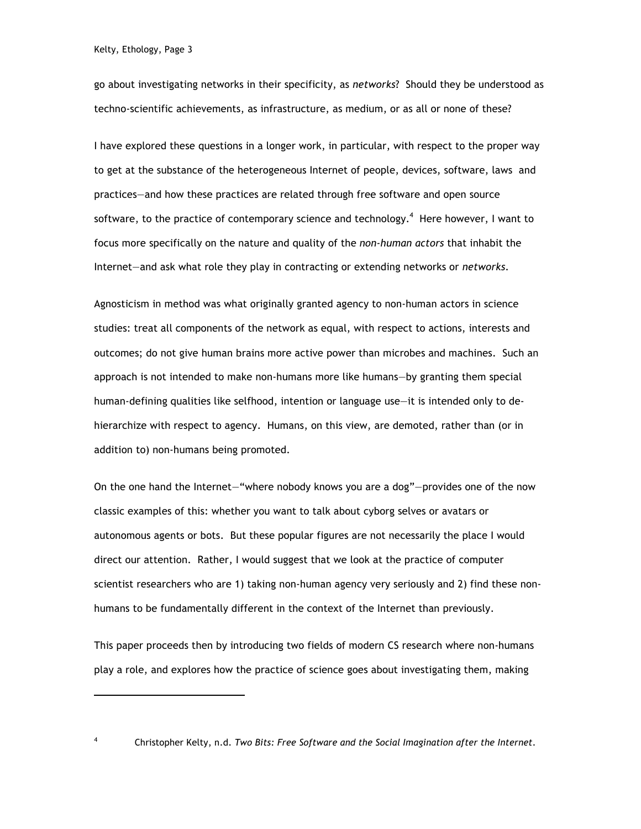go about investigating networks in their specificity, as *networks*? Should they be understood as techno-scientific achievements, as infrastructure, as medium, or as all or none of these?

I have explored these questions in a longer work, in particular, with respect to the proper way to get at the substance of the heterogeneous Internet of people, devices, software, laws and practices—and how these practices are related through free software and open source software, to the practice of contemporary science and technology.<sup>4</sup> Here however, I want to focus more specifically on the nature and quality of the *non-human actors* that inhabit the Internet—and ask what role they play in contracting or extending networks or *networks*.

Agnosticism in method was what originally granted agency to non-human actors in science studies: treat all components of the network as equal, with respect to actions, interests and outcomes; do not give human brains more active power than microbes and machines. Such an approach is not intended to make non-humans more like humans—by granting them special human-defining qualities like selfhood, intention or language use—it is intended only to dehierarchize with respect to agency. Humans, on this view, are demoted, rather than (or in addition to) non-humans being promoted.

On the one hand the Internet—"where nobody knows you are a dog"—provides one of the now classic examples of this: whether you want to talk about cyborg selves or avatars or autonomous agents or bots. But these popular figures are not necessarily the place I would direct our attention. Rather, I would suggest that we look at the practice of computer scientist researchers who are 1) taking non-human agency very seriously and 2) find these nonhumans to be fundamentally different in the context of the Internet than previously.

This paper proceeds then by introducing two fields of modern CS research where non-humans play a role, and explores how the practice of science goes about investigating them, making

l

<sup>4</sup> Christopher Kelty, n.d. *Two Bits: Free Software and the Social Imagination after the Internet*.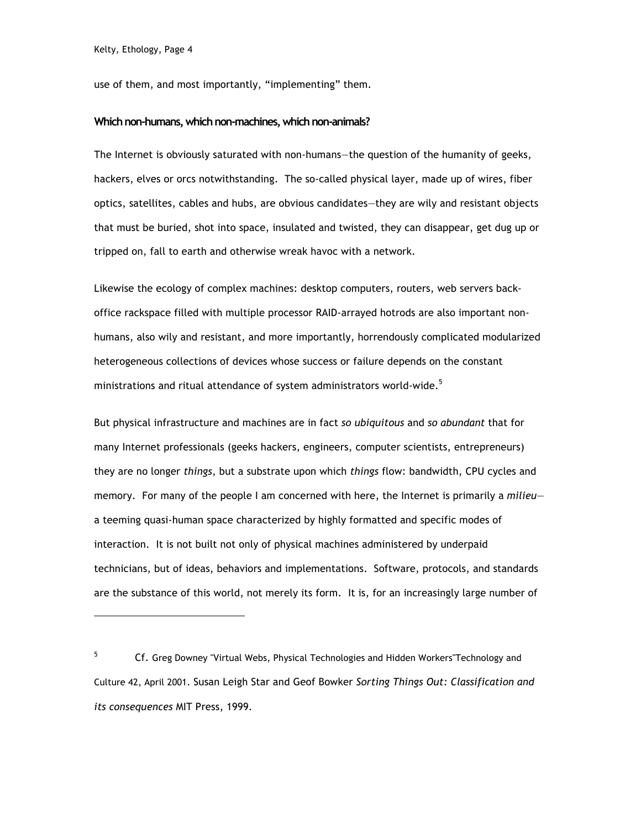l

use of them, and most importantly, "implementing" them.

### **Which non-humans, which non-machines, which non-animals?**

The Internet is obviously saturated with non-humans—the question of the humanity of geeks, hackers, elves or orcs notwithstanding. The so-called physical layer, made up of wires, fiber optics, satellites, cables and hubs, are obvious candidates—they are wily and resistant objects that must be buried, shot into space, insulated and twisted, they can disappear, get dug up or tripped on, fall to earth and otherwise wreak havoc with a network.

Likewise the ecology of complex machines: desktop computers, routers, web servers backoffice rackspace filled with multiple processor RAID-arrayed hotrods are also important nonhumans, also wily and resistant, and more importantly, horrendously complicated modularized heterogeneous collections of devices whose success or failure depends on the constant ministrations and ritual attendance of system administrators world-wide.<sup>5</sup>

But physical infrastructure and machines are in fact *so ubiquitous* and *so abundant* that for many Internet professionals (geeks hackers, engineers, computer scientists, entrepreneurs) they are no longer *things*, but a substrate upon which *things* flow: bandwidth, CPU cycles and memory. For many of the people I am concerned with here, the Internet is primarily a *milieu* a teeming quasi-human space characterized by highly formatted and specific modes of interaction. It is not built not only of physical machines administered by underpaid technicians, but of ideas, behaviors and implementations. Software, protocols, and standards are the substance of this world, not merely its form. It is, for an increasingly large number of

<sup>&</sup>lt;sup>5</sup> Cf. Greg Downey "Virtual Webs, Physical Technologies and Hidden Workers"Technology and Culture 42, April 2001. Susan Leigh Star and Geof Bowker *Sorting Things Out: Classification and its consequences* MIT Press, 1999.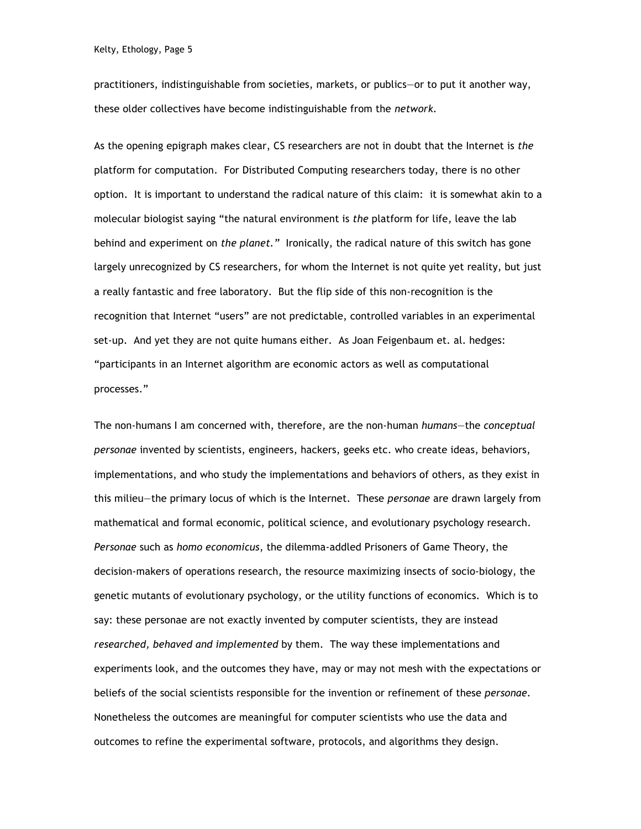practitioners, indistinguishable from societies, markets, or publics—or to put it another way, these older collectives have become indistinguishable from the *network.*

As the opening epigraph makes clear, CS researchers are not in doubt that the Internet is *the* platform for computation. For Distributed Computing researchers today, there is no other option. It is important to understand the radical nature of this claim: it is somewhat akin to a molecular biologist saying "the natural environment is *the* platform for life, leave the lab behind and experiment on *the planet."* Ironically, the radical nature of this switch has gone largely unrecognized by CS researchers, for whom the Internet is not quite yet reality, but just a really fantastic and free laboratory. But the flip side of this non-recognition is the recognition that Internet "users" are not predictable, controlled variables in an experimental set-up. And yet they are not quite humans either. As Joan Feigenbaum et. al. hedges: "participants in an Internet algorithm are economic actors as well as computational processes."

The non-humans I am concerned with, therefore, are the non-human *humans*—the *conceptual personae* invented by scientists, engineers, hackers, geeks etc. who create ideas, behaviors, implementations, and who study the implementations and behaviors of others, as they exist in this milieu—the primary locus of which is the Internet. These *personae* are drawn largely from mathematical and formal economic, political science, and evolutionary psychology research. *Personae* such as *homo economicus*, the dilemma-addled Prisoners of Game Theory, the decision-makers of operations research, the resource maximizing insects of socio-biology, the genetic mutants of evolutionary psychology, or the utility functions of economics. Which is to say: these personae are not exactly invented by computer scientists, they are instead *researched, behaved and implemented* by them. The way these implementations and experiments look, and the outcomes they have, may or may not mesh with the expectations or beliefs of the social scientists responsible for the invention or refinement of these *personae.* Nonetheless the outcomes are meaningful for computer scientists who use the data and outcomes to refine the experimental software, protocols, and algorithms they design.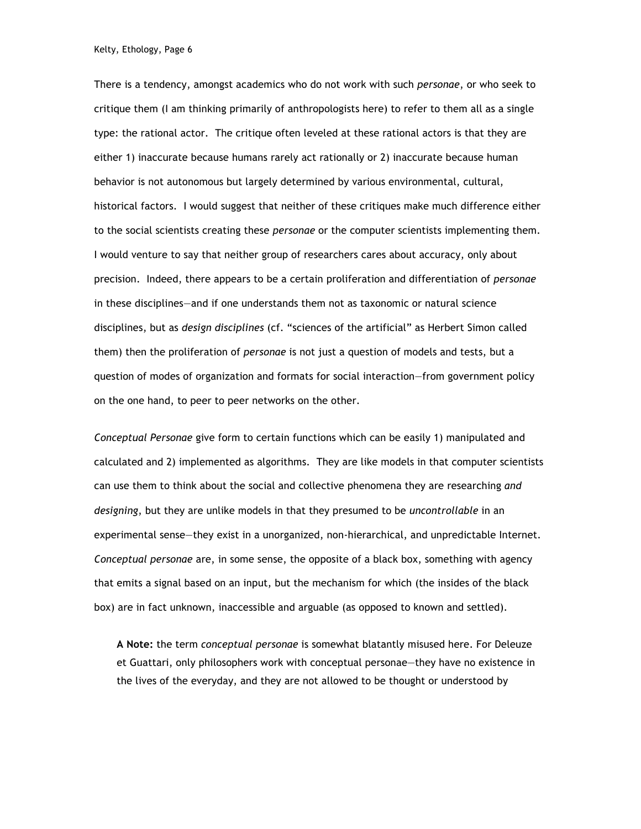There is a tendency, amongst academics who do not work with such *personae*, or who seek to critique them (I am thinking primarily of anthropologists here) to refer to them all as a single type: the rational actor. The critique often leveled at these rational actors is that they are either 1) inaccurate because humans rarely act rationally or 2) inaccurate because human behavior is not autonomous but largely determined by various environmental, cultural, historical factors. I would suggest that neither of these critiques make much difference either to the social scientists creating these *personae* or the computer scientists implementing them. I would venture to say that neither group of researchers cares about accuracy, only about precision. Indeed, there appears to be a certain proliferation and differentiation of *personae* in these disciplines—and if one understands them not as taxonomic or natural science disciplines, but as *design disciplines* (cf. "sciences of the artificial" as Herbert Simon called them) then the proliferation of *personae* is not just a question of models and tests, but a question of modes of organization and formats for social interaction—from government policy on the one hand, to peer to peer networks on the other.

*Conceptual Personae* give form to certain functions which can be easily 1) manipulated and calculated and 2) implemented as algorithms. They are like models in that computer scientists can use them to think about the social and collective phenomena they are researching *and designing*, but they are unlike models in that they presumed to be *uncontrollable* in an experimental sense—they exist in a unorganized, non-hierarchical, and unpredictable Internet. *Conceptual personae* are, in some sense, the opposite of a black box, something with agency that emits a signal based on an input, but the mechanism for which (the insides of the black box) are in fact unknown, inaccessible and arguable (as opposed to known and settled).

**A Note:** the term *conceptual personae* is somewhat blatantly misused here. For Deleuze et Guattari, only philosophers work with conceptual personae—they have no existence in the lives of the everyday, and they are not allowed to be thought or understood by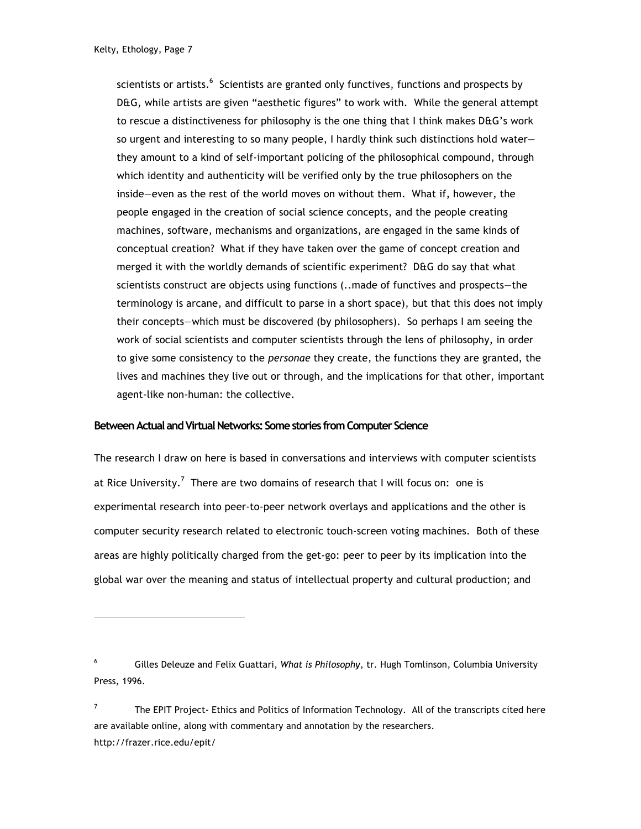scientists or artists. $^6$  Scientists are granted only functives, functions and prospects by D&G, while artists are given "aesthetic figures" to work with. While the general attempt to rescue a distinctiveness for philosophy is the one thing that I think makes D&G's work so urgent and interesting to so many people, I hardly think such distinctions hold water they amount to a kind of self-important policing of the philosophical compound, through which identity and authenticity will be verified only by the true philosophers on the inside—even as the rest of the world moves on without them. What if, however, the people engaged in the creation of social science concepts, and the people creating machines, software, mechanisms and organizations, are engaged in the same kinds of conceptual creation? What if they have taken over the game of concept creation and merged it with the worldly demands of scientific experiment? D&G do say that what scientists construct are objects using functions (..made of functives and prospects—the terminology is arcane, and difficult to parse in a short space), but that this does not imply their concepts—which must be discovered (by philosophers). So perhaps I am seeing the work of social scientists and computer scientists through the lens of philosophy, in order to give some consistency to the *personae* they create, the functions they are granted, the lives and machines they live out or through, and the implications for that other, important agent-like non-human: the collective.

# **Between Actual and Virtual Networks: Some stories from Computer Science**

The research I draw on here is based in conversations and interviews with computer scientists at Rice University.<sup>7</sup> There are two domains of research that I will focus on: one is experimental research into peer-to-peer network overlays and applications and the other is computer security research related to electronic touch-screen voting machines. Both of these areas are highly politically charged from the get-go: peer to peer by its implication into the global war over the meaning and status of intellectual property and cultural production; and

<sup>6</sup> Gilles Deleuze and Felix Guattari, *What is Philosophy*, tr. Hugh Tomlinson, Columbia University Press, 1996.

<sup>&</sup>lt;sup>7</sup> The EPIT Project- Ethics and Politics of Information Technology. All of the transcripts cited here are available online, along with commentary and annotation by the researchers. http://frazer.rice.edu/epit/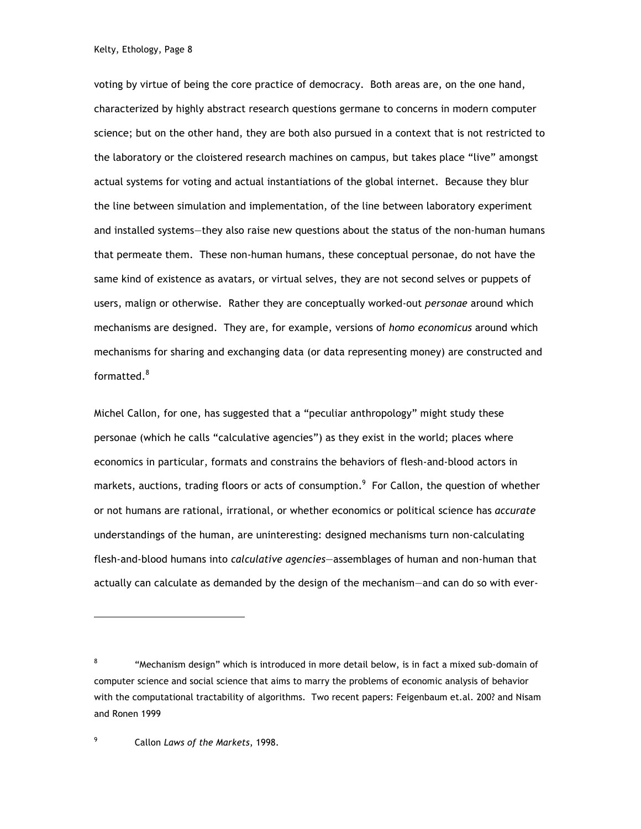voting by virtue of being the core practice of democracy. Both areas are, on the one hand, characterized by highly abstract research questions germane to concerns in modern computer science; but on the other hand, they are both also pursued in a context that is not restricted to the laboratory or the cloistered research machines on campus, but takes place "live" amongst actual systems for voting and actual instantiations of the global internet. Because they blur the line between simulation and implementation, of the line between laboratory experiment and installed systems—they also raise new questions about the status of the non-human humans that permeate them. These non-human humans, these conceptual personae, do not have the same kind of existence as avatars, or virtual selves, they are not second selves or puppets of users, malign or otherwise. Rather they are conceptually worked-out *personae* around which mechanisms are designed. They are, for example, versions of *homo economicus* around which mechanisms for sharing and exchanging data (or data representing money) are constructed and formatted.<sup>8</sup>

Michel Callon, for one, has suggested that a "peculiar anthropology" might study these personae (which he calls "calculative agencies") as they exist in the world; places where economics in particular, formats and constrains the behaviors of flesh-and-blood actors in markets, auctions, trading floors or acts of consumption. $^9\,$  For Callon, the question of whether or not humans are rational, irrational, or whether economics or political science has *accurate* understandings of the human, are uninteresting: designed mechanisms turn non-calculating flesh-and-blood humans into *calculative agencies*—assemblages of human and non-human that actually can calculate as demanded by the design of the mechanism—and can do so with ever-

9 Callon *Laws of the Markets*, 1998.

l

<sup>&</sup>lt;sup>8</sup> "Mechanism design" which is introduced in more detail below, is in fact a mixed sub-domain of computer science and social science that aims to marry the problems of economic analysis of behavior with the computational tractability of algorithms. Two recent papers: Feigenbaum et.al. 200? and Nisam and Ronen 1999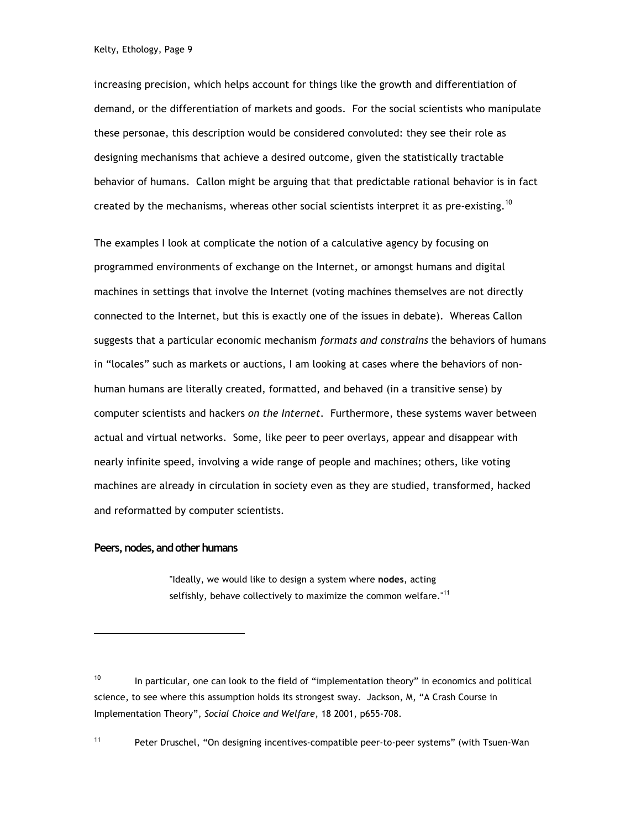increasing precision, which helps account for things like the growth and differentiation of demand, or the differentiation of markets and goods. For the social scientists who manipulate these personae, this description would be considered convoluted: they see their role as designing mechanisms that achieve a desired outcome, given the statistically tractable behavior of humans. Callon might be arguing that that predictable rational behavior is in fact created by the mechanisms, whereas other social scientists interpret it as pre-existing.<sup>10</sup>

The examples I look at complicate the notion of a calculative agency by focusing on programmed environments of exchange on the Internet, or amongst humans and digital machines in settings that involve the Internet (voting machines themselves are not directly connected to the Internet, but this is exactly one of the issues in debate). Whereas Callon suggests that a particular economic mechanism *formats and constrains* the behaviors of humans in "locales" such as markets or auctions, I am looking at cases where the behaviors of nonhuman humans are literally created, formatted, and behaved (in a transitive sense) by computer scientists and hackers *on the Internet*. Furthermore, these systems waver between actual and virtual networks. Some, like peer to peer overlays, appear and disappear with nearly infinite speed, involving a wide range of people and machines; others, like voting machines are already in circulation in society even as they are studied, transformed, hacked and reformatted by computer scientists.

### **Peers, nodes, and other humans**

l

"Ideally, we would like to design a system where **nodes**, acting selfishly, behave collectively to maximize the common welfare."<sup>11</sup>

<sup>11</sup> Peter Druschel, "On designing incentives-compatible peer-to-peer systems" (with Tsuen-Wan

 $10$  In particular, one can look to the field of "implementation theory" in economics and political science, to see where this assumption holds its strongest sway. Jackson, M, "A Crash Course in Implementation Theory", *Social Choice and Welfare*, 18 2001, p655-708.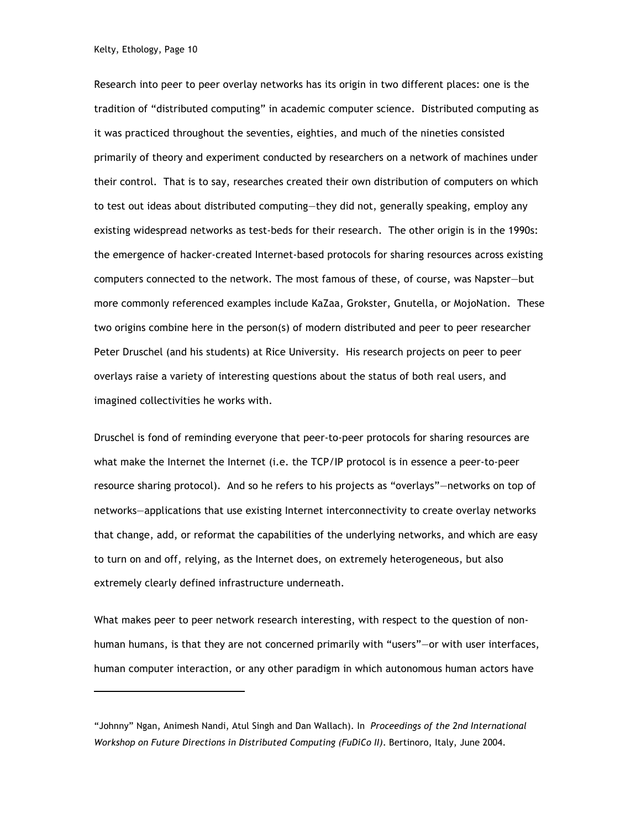l

Research into peer to peer overlay networks has its origin in two different places: one is the tradition of "distributed computing" in academic computer science. Distributed computing as it was practiced throughout the seventies, eighties, and much of the nineties consisted primarily of theory and experiment conducted by researchers on a network of machines under their control. That is to say, researches created their own distribution of computers on which to test out ideas about distributed computing—they did not, generally speaking, employ any existing widespread networks as test-beds for their research. The other origin is in the 1990s: the emergence of hacker-created Internet-based protocols for sharing resources across existing computers connected to the network. The most famous of these, of course, was Napster—but more commonly referenced examples include KaZaa, Grokster, Gnutella, or MojoNation. These two origins combine here in the person(s) of modern distributed and peer to peer researcher Peter Druschel (and his students) at Rice University. His research projects on peer to peer overlays raise a variety of interesting questions about the status of both real users, and imagined collectivities he works with.

Druschel is fond of reminding everyone that peer-to-peer protocols for sharing resources are what make the Internet the Internet (i.e. the TCP/IP protocol is in essence a peer-to-peer resource sharing protocol). And so he refers to his projects as "overlays"—networks on top of networks—applications that use existing Internet interconnectivity to create overlay networks that change, add, or reformat the capabilities of the underlying networks, and which are easy to turn on and off, relying, as the Internet does, on extremely heterogeneous, but also extremely clearly defined infrastructure underneath.

What makes peer to peer network research interesting, with respect to the question of nonhuman humans, is that they are not concerned primarily with "users"—or with user interfaces, human computer interaction, or any other paradigm in which autonomous human actors have

<sup>&</sup>quot;Johnny" Ngan, Animesh Nandi, Atul Singh and Dan Wallach). In *Proceedings of the 2nd International Workshop on Future Directions in Distributed Computing (FuDiCo II)*. Bertinoro, Italy, June 2004.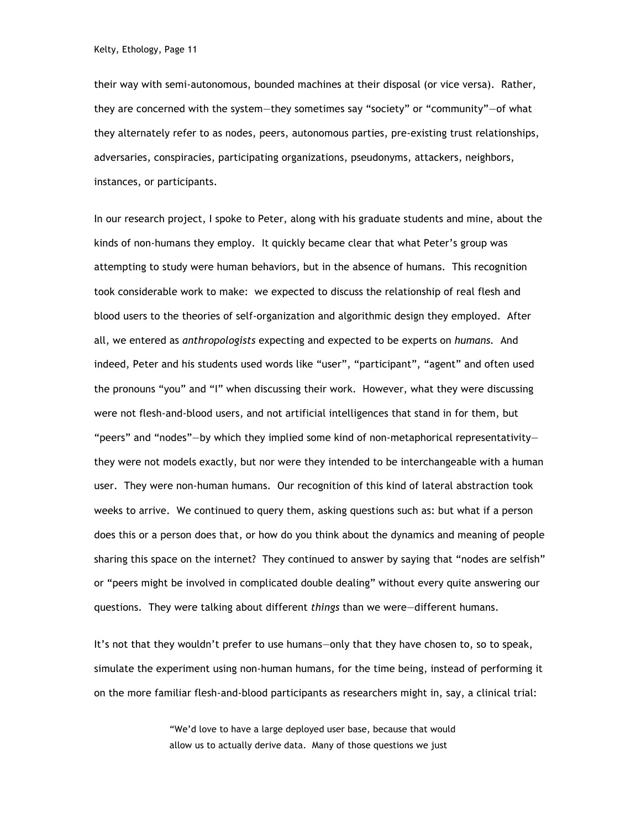their way with semi-autonomous, bounded machines at their disposal (or vice versa). Rather, they are concerned with the system—they sometimes say "society" or "community"—of what they alternately refer to as nodes, peers, autonomous parties, pre-existing trust relationships, adversaries, conspiracies, participating organizations, pseudonyms, attackers, neighbors, instances, or participants.

In our research project, I spoke to Peter, along with his graduate students and mine, about the kinds of non-humans they employ. It quickly became clear that what Peter's group was attempting to study were human behaviors, but in the absence of humans. This recognition took considerable work to make: we expected to discuss the relationship of real flesh and blood users to the theories of self-organization and algorithmic design they employed. After all, we entered as *anthropologists* expecting and expected to be experts on *humans.* And indeed, Peter and his students used words like "user", "participant", "agent" and often used the pronouns "you" and "I" when discussing their work. However, what they were discussing were not flesh-and-blood users, and not artificial intelligences that stand in for them, but "peers" and "nodes"—by which they implied some kind of non-metaphorical representativity they were not models exactly, but nor were they intended to be interchangeable with a human user. They were non-human humans. Our recognition of this kind of lateral abstraction took weeks to arrive. We continued to query them, asking questions such as: but what if a person does this or a person does that, or how do you think about the dynamics and meaning of people sharing this space on the internet? They continued to answer by saying that "nodes are selfish" or "peers might be involved in complicated double dealing" without every quite answering our questions. They were talking about different *things* than we were—different humans.

It's not that they wouldn't prefer to use humans—only that they have chosen to, so to speak, simulate the experiment using non-human humans, for the time being, instead of performing it on the more familiar flesh-and-blood participants as researchers might in, say, a clinical trial:

> "We'd love to have a large deployed user base, because that would allow us to actually derive data. Many of those questions we just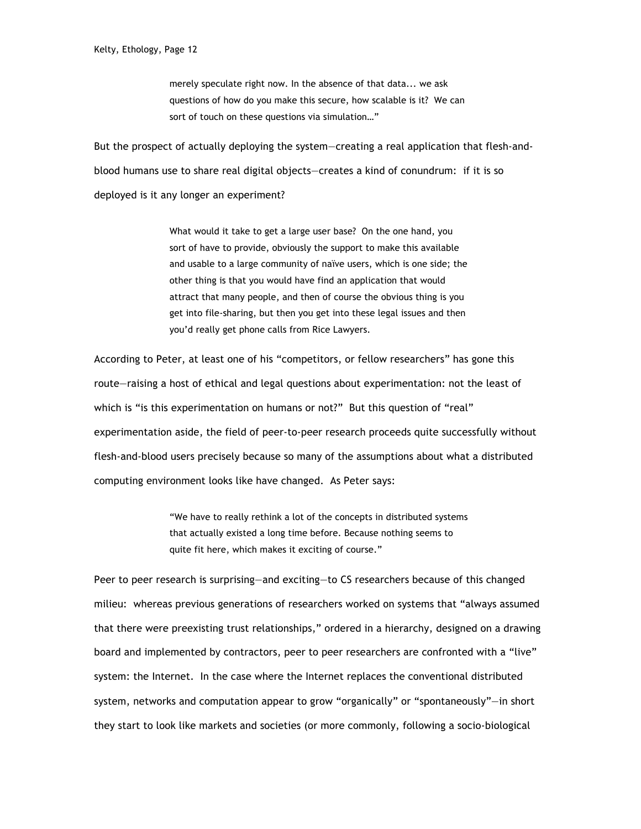merely speculate right now. In the absence of that data... we ask questions of how do you make this secure, how scalable is it? We can sort of touch on these questions via simulation…"

But the prospect of actually deploying the system—creating a real application that flesh-andblood humans use to share real digital objects—creates a kind of conundrum: if it is so deployed is it any longer an experiment?

> What would it take to get a large user base? On the one hand, you sort of have to provide, obviously the support to make this available and usable to a large community of naïve users, which is one side; the other thing is that you would have find an application that would attract that many people, and then of course the obvious thing is you get into file-sharing, but then you get into these legal issues and then you'd really get phone calls from Rice Lawyers.

According to Peter, at least one of his "competitors, or fellow researchers" has gone this route—raising a host of ethical and legal questions about experimentation: not the least of which is "is this experimentation on humans or not?" But this question of "real" experimentation aside, the field of peer-to-peer research proceeds quite successfully without flesh-and-blood users precisely because so many of the assumptions about what a distributed computing environment looks like have changed. As Peter says:

> "We have to really rethink a lot of the concepts in distributed systems that actually existed a long time before. Because nothing seems to quite fit here, which makes it exciting of course."

Peer to peer research is surprising—and exciting—to CS researchers because of this changed milieu: whereas previous generations of researchers worked on systems that "always assumed that there were preexisting trust relationships," ordered in a hierarchy, designed on a drawing board and implemented by contractors, peer to peer researchers are confronted with a "live" system: the Internet. In the case where the Internet replaces the conventional distributed system, networks and computation appear to grow "organically" or "spontaneously"—in short they start to look like markets and societies (or more commonly, following a socio-biological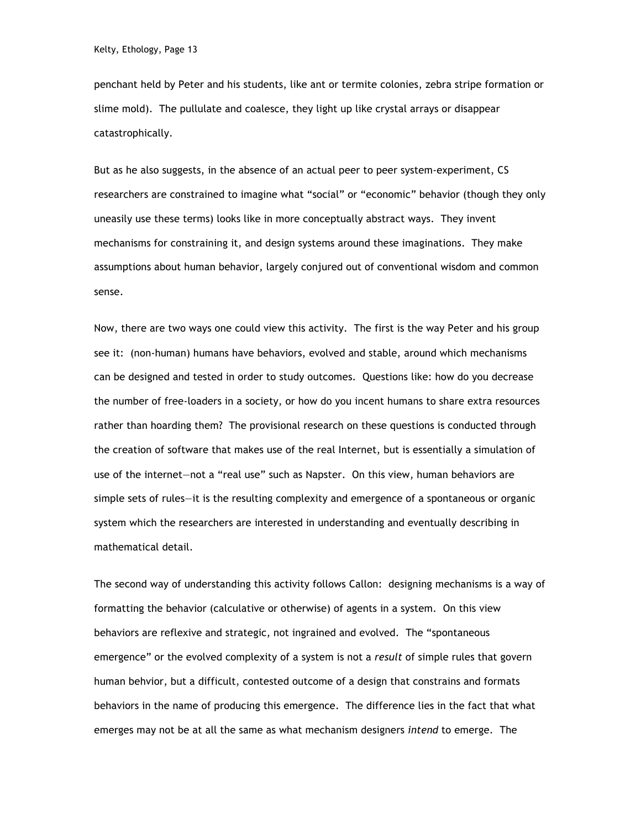penchant held by Peter and his students, like ant or termite colonies, zebra stripe formation or slime mold). The pullulate and coalesce, they light up like crystal arrays or disappear catastrophically.

But as he also suggests, in the absence of an actual peer to peer system-experiment, CS researchers are constrained to imagine what "social" or "economic" behavior (though they only uneasily use these terms) looks like in more conceptually abstract ways. They invent mechanisms for constraining it, and design systems around these imaginations. They make assumptions about human behavior, largely conjured out of conventional wisdom and common sense.

Now, there are two ways one could view this activity. The first is the way Peter and his group see it: (non-human) humans have behaviors, evolved and stable, around which mechanisms can be designed and tested in order to study outcomes. Questions like: how do you decrease the number of free-loaders in a society, or how do you incent humans to share extra resources rather than hoarding them? The provisional research on these questions is conducted through the creation of software that makes use of the real Internet, but is essentially a simulation of use of the internet—not a "real use" such as Napster. On this view, human behaviors are simple sets of rules—it is the resulting complexity and emergence of a spontaneous or organic system which the researchers are interested in understanding and eventually describing in mathematical detail.

The second way of understanding this activity follows Callon: designing mechanisms is a way of formatting the behavior (calculative or otherwise) of agents in a system. On this view behaviors are reflexive and strategic, not ingrained and evolved. The "spontaneous emergence" or the evolved complexity of a system is not a *result* of simple rules that govern human behvior, but a difficult, contested outcome of a design that constrains and formats behaviors in the name of producing this emergence. The difference lies in the fact that what emerges may not be at all the same as what mechanism designers *intend* to emerge. The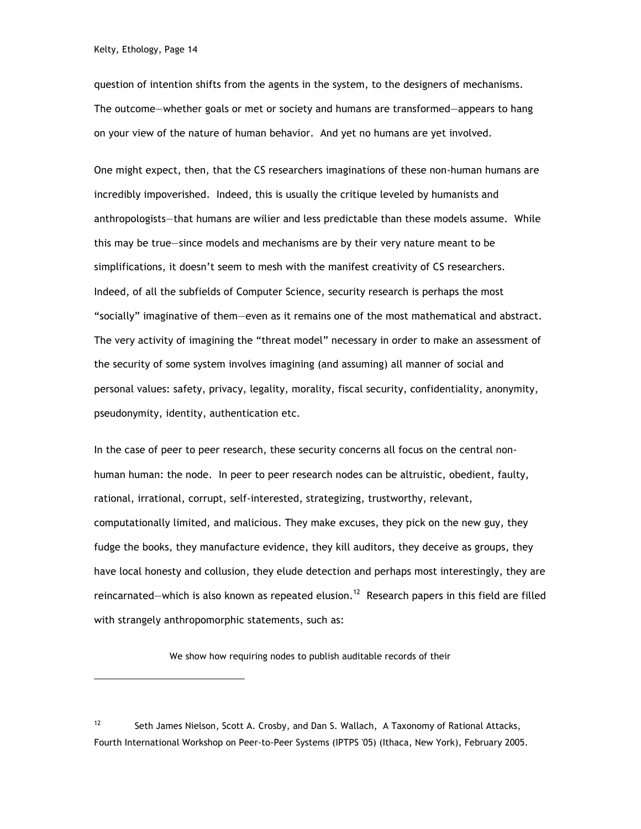question of intention shifts from the agents in the system, to the designers of mechanisms. The outcome—whether goals or met or society and humans are transformed—appears to hang on your view of the nature of human behavior. And yet no humans are yet involved.

One might expect, then, that the CS researchers imaginations of these non-human humans are incredibly impoverished. Indeed, this is usually the critique leveled by humanists and anthropologists—that humans are wilier and less predictable than these models assume. While this may be true—since models and mechanisms are by their very nature meant to be simplifications, it doesn't seem to mesh with the manifest creativity of CS researchers. Indeed, of all the subfields of Computer Science, security research is perhaps the most "socially" imaginative of them—even as it remains one of the most mathematical and abstract. The very activity of imagining the "threat model" necessary in order to make an assessment of the security of some system involves imagining (and assuming) all manner of social and personal values: safety, privacy, legality, morality, fiscal security, confidentiality, anonymity, pseudonymity, identity, authentication etc.

In the case of peer to peer research, these security concerns all focus on the central nonhuman human: the node. In peer to peer research nodes can be altruistic, obedient, faulty, rational, irrational, corrupt, self-interested, strategizing, trustworthy, relevant, computationally limited, and malicious. They make excuses, they pick on the new guy, they fudge the books, they manufacture evidence, they kill auditors, they deceive as groups, they have local honesty and collusion, they elude detection and perhaps most interestingly, they are reincarnated—which is also known as repeated elusion.<sup>12</sup> Research papers in this field are filled with strangely anthropomorphic statements, such as:

We show how requiring nodes to publish auditable records of their

<sup>&</sup>lt;sup>12</sup> Seth James Nielson, Scott A. Crosby, and Dan S. Wallach, A Taxonomy of Rational Attacks, Fourth International Workshop on Peer-to-Peer Systems (IPTPS '05) (Ithaca, New York), February 2005.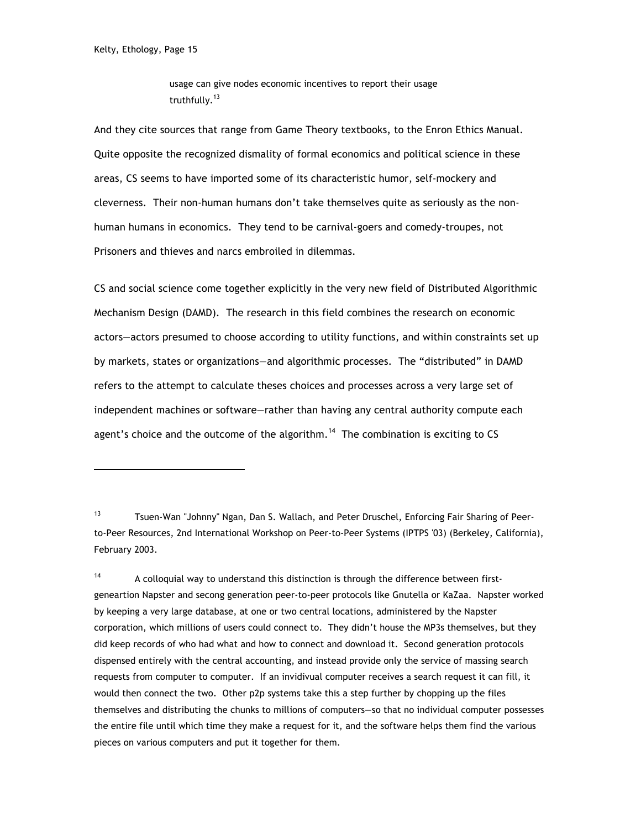usage can give nodes economic incentives to report their usage truthfully.<sup>13</sup>

And they cite sources that range from Game Theory textbooks, to the Enron Ethics Manual. Quite opposite the recognized dismality of formal economics and political science in these areas, CS seems to have imported some of its characteristic humor, self-mockery and cleverness. Their non-human humans don't take themselves quite as seriously as the nonhuman humans in economics. They tend to be carnival-goers and comedy-troupes, not Prisoners and thieves and narcs embroiled in dilemmas.

CS and social science come together explicitly in the very new field of Distributed Algorithmic Mechanism Design (DAMD). The research in this field combines the research on economic actors—actors presumed to choose according to utility functions, and within constraints set up by markets, states or organizations—and algorithmic processes. The "distributed" in DAMD refers to the attempt to calculate theses choices and processes across a very large set of independent machines or software—rather than having any central authority compute each agent's choice and the outcome of the algorithm.<sup>14</sup> The combination is exciting to CS

<sup>13</sup> Tsuen-Wan "Johnny" Ngan, Dan S. Wallach, and Peter Druschel, Enforcing Fair Sharing of Peerto-Peer Resources, 2nd International Workshop on Peer-to-Peer Systems (IPTPS '03) (Berkeley, California), February 2003.

 $14$  A colloquial way to understand this distinction is through the difference between firstgeneartion Napster and secong generation peer-to-peer protocols like Gnutella or KaZaa. Napster worked by keeping a very large database, at one or two central locations, administered by the Napster corporation, which millions of users could connect to. They didn't house the MP3s themselves, but they did keep records of who had what and how to connect and download it. Second generation protocols dispensed entirely with the central accounting, and instead provide only the service of massing search requests from computer to computer. If an invidivual computer receives a search request it can fill, it would then connect the two. Other p2p systems take this a step further by chopping up the files themselves and distributing the chunks to millions of computers—so that no individual computer possesses the entire file until which time they make a request for it, and the software helps them find the various pieces on various computers and put it together for them.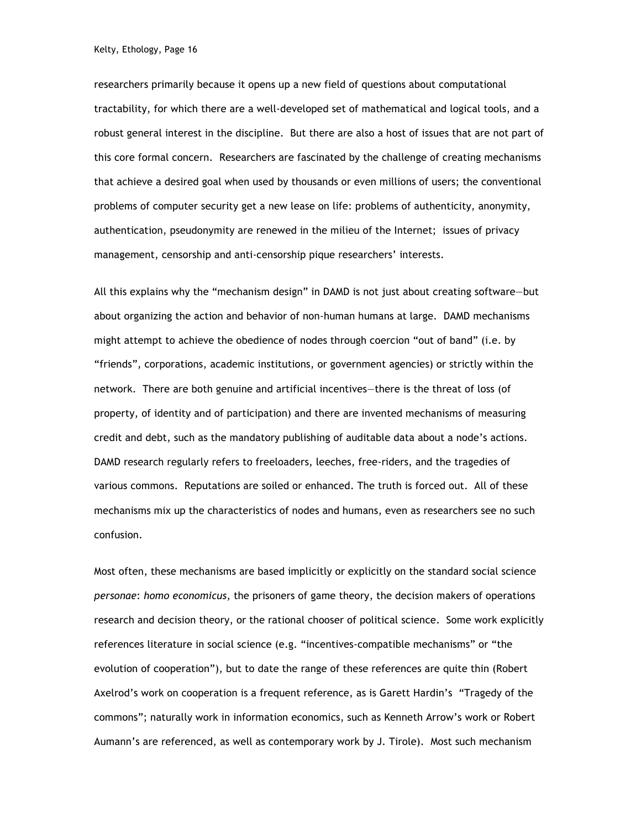researchers primarily because it opens up a new field of questions about computational tractability, for which there are a well-developed set of mathematical and logical tools, and a robust general interest in the discipline. But there are also a host of issues that are not part of this core formal concern. Researchers are fascinated by the challenge of creating mechanisms that achieve a desired goal when used by thousands or even millions of users; the conventional problems of computer security get a new lease on life: problems of authenticity, anonymity, authentication, pseudonymity are renewed in the milieu of the Internet; issues of privacy management, censorship and anti-censorship pique researchers' interests.

All this explains why the "mechanism design" in DAMD is not just about creating software—but about organizing the action and behavior of non-human humans at large. DAMD mechanisms might attempt to achieve the obedience of nodes through coercion "out of band" (i.e. by "friends", corporations, academic institutions, or government agencies) or strictly within the network. There are both genuine and artificial incentives—there is the threat of loss (of property, of identity and of participation) and there are invented mechanisms of measuring credit and debt, such as the mandatory publishing of auditable data about a node's actions. DAMD research regularly refers to freeloaders, leeches, free-riders, and the tragedies of various commons. Reputations are soiled or enhanced. The truth is forced out. All of these mechanisms mix up the characteristics of nodes and humans, even as researchers see no such confusion.

Most often, these mechanisms are based implicitly or explicitly on the standard social science *personae*: *homo economicus*, the prisoners of game theory, the decision makers of operations research and decision theory, or the rational chooser of political science. Some work explicitly references literature in social science (e.g. "incentives-compatible mechanisms" or "the evolution of cooperation"), but to date the range of these references are quite thin (Robert Axelrod's work on cooperation is a frequent reference, as is Garett Hardin's "Tragedy of the commons"; naturally work in information economics, such as Kenneth Arrow's work or Robert Aumann's are referenced, as well as contemporary work by J. Tirole). Most such mechanism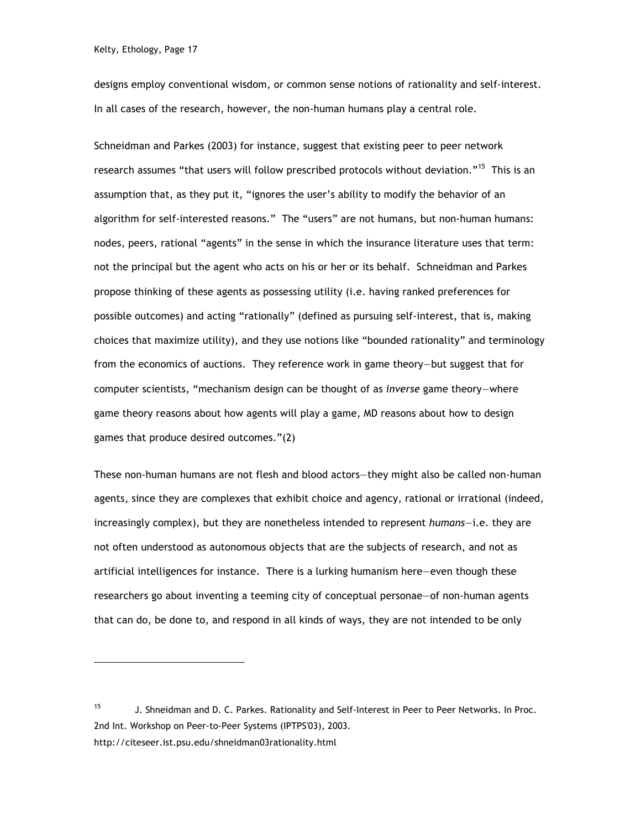designs employ conventional wisdom, or common sense notions of rationality and self-interest. In all cases of the research, however, the non-human humans play a central role.

Schneidman and Parkes (2003) for instance, suggest that existing peer to peer network research assumes "that users will follow prescribed protocols without deviation."<sup>15</sup> This is an assumption that, as they put it, "ignores the user's ability to modify the behavior of an algorithm for self-interested reasons." The "users" are not humans, but non-human humans: nodes, peers, rational "agents" in the sense in which the insurance literature uses that term: not the principal but the agent who acts on his or her or its behalf. Schneidman and Parkes propose thinking of these agents as possessing utility (i.e. having ranked preferences for possible outcomes) and acting "rationally" (defined as pursuing self-interest, that is, making choices that maximize utility), and they use notions like "bounded rationality" and terminology from the economics of auctions. They reference work in game theory—but suggest that for computer scientists, "mechanism design can be thought of as *inverse* game theory—where game theory reasons about how agents will play a game, MD reasons about how to design games that produce desired outcomes."(2)

These non-human humans are not flesh and blood actors—they might also be called non-human agents, since they are complexes that exhibit choice and agency, rational or irrational (indeed, increasingly complex), but they are nonetheless intended to represent *humans*—i.e. they are not often understood as autonomous objects that are the subjects of research, and not as artificial intelligences for instance. There is a lurking humanism here—even though these researchers go about inventing a teeming city of conceptual personae—of non-human agents that can do, be done to, and respond in all kinds of ways, they are not intended to be only

<sup>15</sup> J. Shneidman and D. C. Parkes. Rationality and Self-Interest in Peer to Peer Networks. In Proc. 2nd Int. Workshop on Peer-to-Peer Systems (IPTPS'03), 2003. http://citeseer.ist.psu.edu/shneidman03rationality.html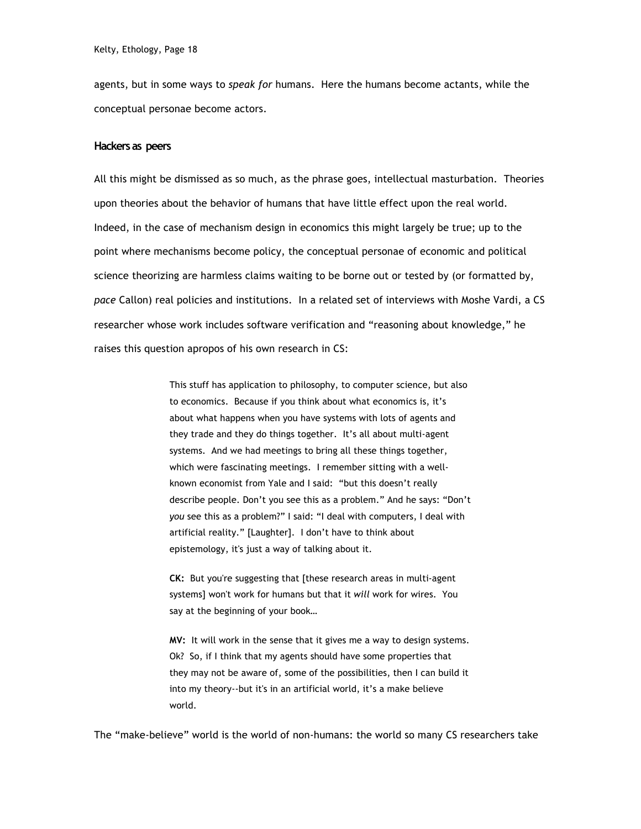agents, but in some ways to *speak for* humans. Here the humans become actants, while the conceptual personae become actors.

#### **Hackers as peers**

All this might be dismissed as so much, as the phrase goes, intellectual masturbation. Theories upon theories about the behavior of humans that have little effect upon the real world. Indeed, in the case of mechanism design in economics this might largely be true; up to the point where mechanisms become policy, the conceptual personae of economic and political science theorizing are harmless claims waiting to be borne out or tested by (or formatted by, *pace* Callon) real policies and institutions. In a related set of interviews with Moshe Vardi, a CS researcher whose work includes software verification and "reasoning about knowledge," he raises this question apropos of his own research in CS:

> This stuff has application to philosophy, to computer science, but also to economics. Because if you think about what economics is, it's about what happens when you have systems with lots of agents and they trade and they do things together. It's all about multi-agent systems. And we had meetings to bring all these things together, which were fascinating meetings. I remember sitting with a wellknown economist from Yale and I said: "but this doesn't really describe people. Don't you see this as a problem." And he says: "Don't *you* see this as a problem?" I said: "I deal with computers, I deal with artificial reality." [Laughter]. I don't have to think about epistemology, it's just a way of talking about it.

**CK:** But you're suggesting that [these research areas in multi-agent systems] won't work for humans but that it *will* work for wires. You say at the beginning of your book…

**MV:** It will work in the sense that it gives me a way to design systems. Ok? So, if I think that my agents should have some properties that they may not be aware of, some of the possibilities, then I can build it into my theory--but it's in an artificial world, it's a make believe world.

The "make-believe" world is the world of non-humans: the world so many CS researchers take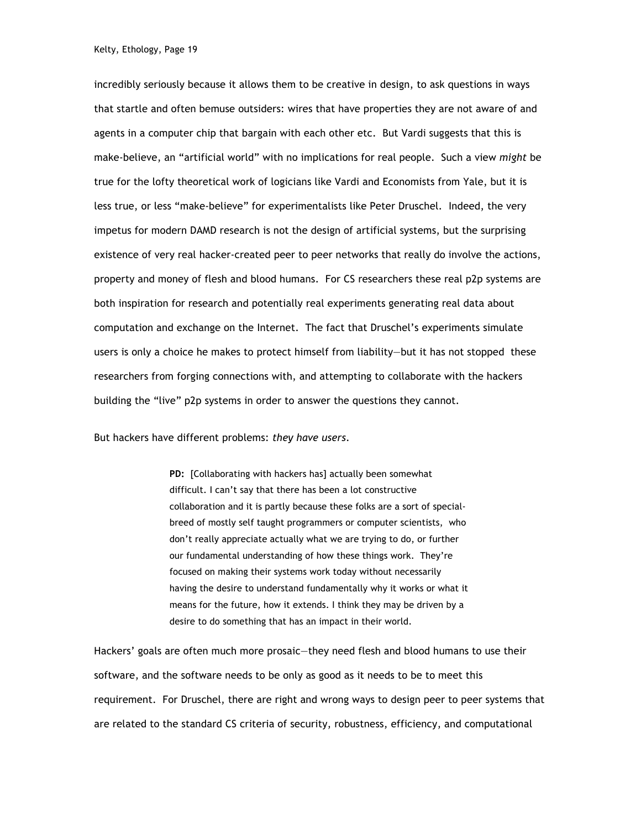incredibly seriously because it allows them to be creative in design, to ask questions in ways that startle and often bemuse outsiders: wires that have properties they are not aware of and agents in a computer chip that bargain with each other etc. But Vardi suggests that this is make-believe, an "artificial world" with no implications for real people. Such a view *might* be true for the lofty theoretical work of logicians like Vardi and Economists from Yale, but it is less true, or less "make-believe" for experimentalists like Peter Druschel. Indeed, the very impetus for modern DAMD research is not the design of artificial systems, but the surprising existence of very real hacker-created peer to peer networks that really do involve the actions, property and money of flesh and blood humans. For CS researchers these real p2p systems are both inspiration for research and potentially real experiments generating real data about computation and exchange on the Internet. The fact that Druschel's experiments simulate users is only a choice he makes to protect himself from liability—but it has not stopped these researchers from forging connections with, and attempting to collaborate with the hackers building the "live" p2p systems in order to answer the questions they cannot.

But hackers have different problems: *they have users*.

**PD:** [Collaborating with hackers has] actually been somewhat difficult. I can't say that there has been a lot constructive collaboration and it is partly because these folks are a sort of specialbreed of mostly self taught programmers or computer scientists, who don't really appreciate actually what we are trying to do, or further our fundamental understanding of how these things work. They're focused on making their systems work today without necessarily having the desire to understand fundamentally why it works or what it means for the future, how it extends. I think they may be driven by a desire to do something that has an impact in their world.

Hackers' goals are often much more prosaic—they need flesh and blood humans to use their software, and the software needs to be only as good as it needs to be to meet this requirement. For Druschel, there are right and wrong ways to design peer to peer systems that are related to the standard CS criteria of security, robustness, efficiency, and computational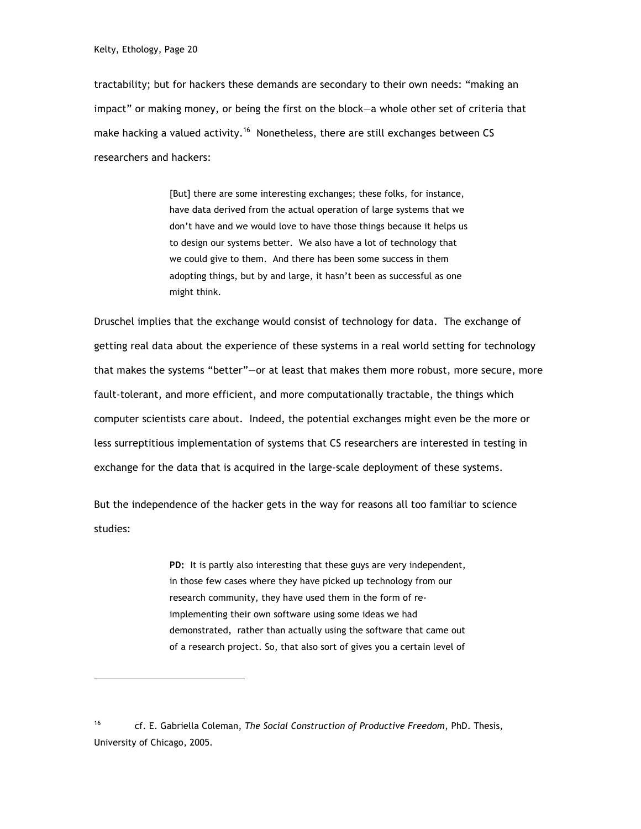tractability; but for hackers these demands are secondary to their own needs: "making an impact" or making money, or being the first on the block—a whole other set of criteria that make hacking a valued activity.<sup>16</sup> Nonetheless, there are still exchanges between CS researchers and hackers:

> [But] there are some interesting exchanges; these folks, for instance, have data derived from the actual operation of large systems that we don't have and we would love to have those things because it helps us to design our systems better. We also have a lot of technology that we could give to them. And there has been some success in them adopting things, but by and large, it hasn't been as successful as one might think.

Druschel implies that the exchange would consist of technology for data. The exchange of getting real data about the experience of these systems in a real world setting for technology that makes the systems "better"—or at least that makes them more robust, more secure, more fault-tolerant, and more efficient, and more computationally tractable, the things which computer scientists care about. Indeed, the potential exchanges might even be the more or less surreptitious implementation of systems that CS researchers are interested in testing in exchange for the data that is acquired in the large-scale deployment of these systems.

But the independence of the hacker gets in the way for reasons all too familiar to science studies:

> PD: It is partly also interesting that these guys are very independent, in those few cases where they have picked up technology from our research community, they have used them in the form of reimplementing their own software using some ideas we had demonstrated, rather than actually using the software that came out of a research project. So, that also sort of gives you a certain level of

<sup>16</sup> cf. E. Gabriella Coleman, *The Social Construction of Productive Freedom*, PhD. Thesis, University of Chicago, 2005.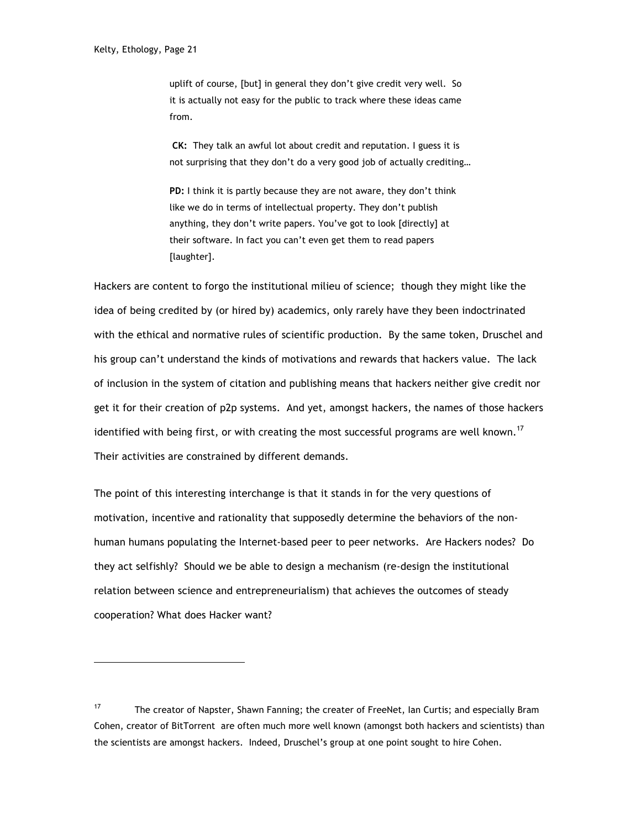uplift of course, [but] in general they don't give credit very well. So it is actually not easy for the public to track where these ideas came from.

**CK:** They talk an awful lot about credit and reputation. I guess it is not surprising that they don't do a very good job of actually crediting…

**PD:** I think it is partly because they are not aware, they don't think like we do in terms of intellectual property. They don't publish anything, they don't write papers. You've got to look [directly] at their software. In fact you can't even get them to read papers [laughter].

Hackers are content to forgo the institutional milieu of science; though they might like the idea of being credited by (or hired by) academics, only rarely have they been indoctrinated with the ethical and normative rules of scientific production. By the same token, Druschel and his group can't understand the kinds of motivations and rewards that hackers value. The lack of inclusion in the system of citation and publishing means that hackers neither give credit nor get it for their creation of p2p systems. And yet, amongst hackers, the names of those hackers identified with being first, or with creating the most successful programs are well known.<sup>17</sup> Their activities are constrained by different demands.

The point of this interesting interchange is that it stands in for the very questions of motivation, incentive and rationality that supposedly determine the behaviors of the nonhuman humans populating the Internet-based peer to peer networks. Are Hackers nodes? Do they act selfishly? Should we be able to design a mechanism (re-design the institutional relation between science and entrepreneurialism) that achieves the outcomes of steady cooperation? What does Hacker want?

<sup>&</sup>lt;sup>17</sup> The creator of Napster, Shawn Fanning; the creater of FreeNet, Ian Curtis; and especially Bram Cohen, creator of BitTorrent are often much more well known (amongst both hackers and scientists) than the scientists are amongst hackers. Indeed, Druschel's group at one point sought to hire Cohen.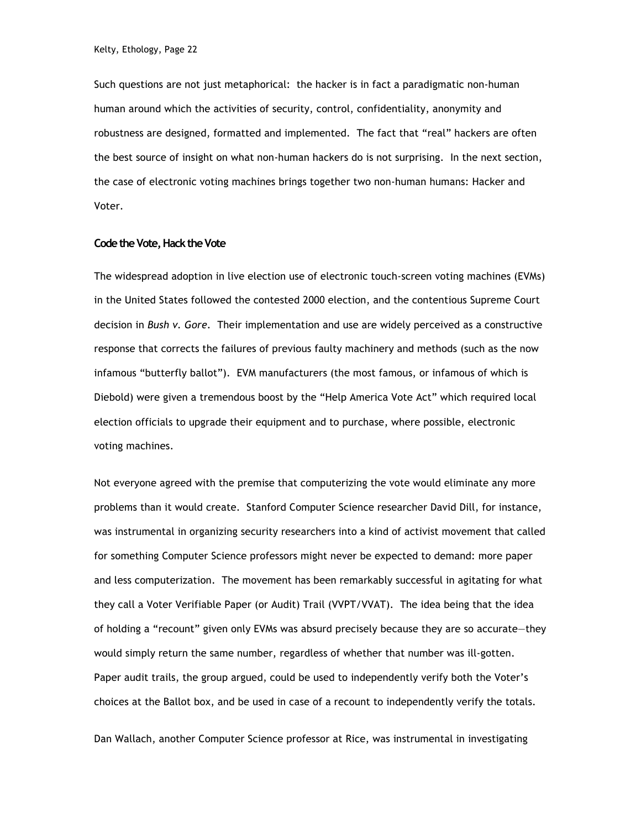Such questions are not just metaphorical: the hacker is in fact a paradigmatic non-human human around which the activities of security, control, confidentiality, anonymity and robustness are designed, formatted and implemented. The fact that "real" hackers are often the best source of insight on what non-human hackers do is not surprising. In the next section, the case of electronic voting machines brings together two non-human humans: Hacker and Voter.

#### **Code the Vote, Hack the Vote**

The widespread adoption in live election use of electronic touch-screen voting machines (EVMs) in the United States followed the contested 2000 election, and the contentious Supreme Court decision in *Bush v. Gore.* Their implementation and use are widely perceived as a constructive response that corrects the failures of previous faulty machinery and methods (such as the now infamous "butterfly ballot"). EVM manufacturers (the most famous, or infamous of which is Diebold) were given a tremendous boost by the "Help America Vote Act" which required local election officials to upgrade their equipment and to purchase, where possible, electronic voting machines.

Not everyone agreed with the premise that computerizing the vote would eliminate any more problems than it would create. Stanford Computer Science researcher David Dill, for instance, was instrumental in organizing security researchers into a kind of activist movement that called for something Computer Science professors might never be expected to demand: more paper and less computerization. The movement has been remarkably successful in agitating for what they call a Voter Verifiable Paper (or Audit) Trail (VVPT/VVAT). The idea being that the idea of holding a "recount" given only EVMs was absurd precisely because they are so accurate—they would simply return the same number, regardless of whether that number was ill-gotten. Paper audit trails, the group argued, could be used to independently verify both the Voter's choices at the Ballot box, and be used in case of a recount to independently verify the totals.

Dan Wallach, another Computer Science professor at Rice, was instrumental in investigating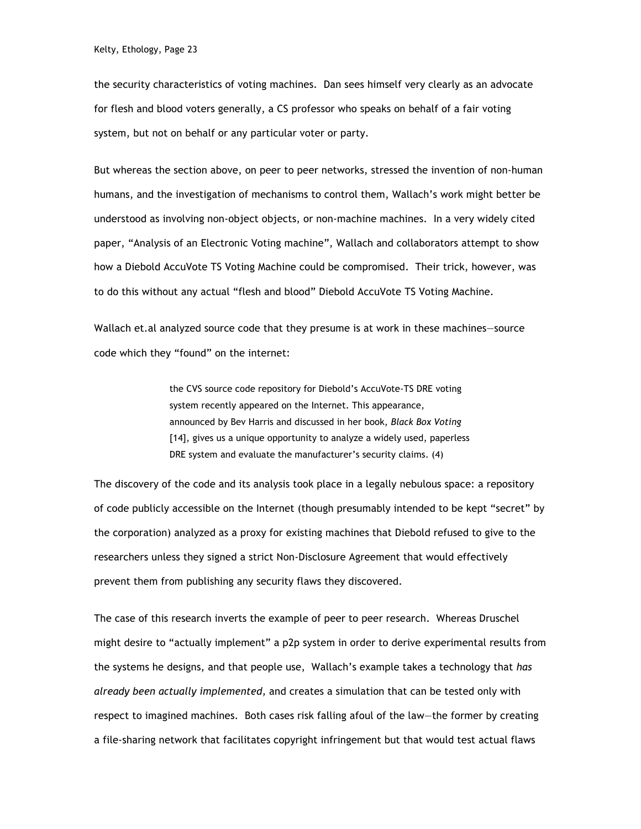the security characteristics of voting machines. Dan sees himself very clearly as an advocate for flesh and blood voters generally, a CS professor who speaks on behalf of a fair voting system, but not on behalf or any particular voter or party.

But whereas the section above, on peer to peer networks, stressed the invention of non-human humans, and the investigation of mechanisms to control them, Wallach's work might better be understood as involving non-object objects, or non-machine machines. In a very widely cited paper, "Analysis of an Electronic Voting machine", Wallach and collaborators attempt to show how a Diebold AccuVote TS Voting Machine could be compromised. Their trick, however, was to do this without any actual "flesh and blood" Diebold AccuVote TS Voting Machine.

Wallach et.al analyzed source code that they presume is at work in these machines—source code which they "found" on the internet:

> the CVS source code repository for Diebold's AccuVote-TS DRE voting system recently appeared on the Internet. This appearance, announced by Bev Harris and discussed in her book, *Black Box Voting*  [14], gives us a unique opportunity to analyze a widely used, paperless DRE system and evaluate the manufacturer's security claims. (4)

The discovery of the code and its analysis took place in a legally nebulous space: a repository of code publicly accessible on the Internet (though presumably intended to be kept "secret" by the corporation) analyzed as a proxy for existing machines that Diebold refused to give to the researchers unless they signed a strict Non-Disclosure Agreement that would effectively prevent them from publishing any security flaws they discovered.

The case of this research inverts the example of peer to peer research. Whereas Druschel might desire to "actually implement" a p2p system in order to derive experimental results from the systems he designs, and that people use, Wallach's example takes a technology that *has already been actually implemented,* and creates a simulation that can be tested only with respect to imagined machines. Both cases risk falling afoul of the law—the former by creating a file-sharing network that facilitates copyright infringement but that would test actual flaws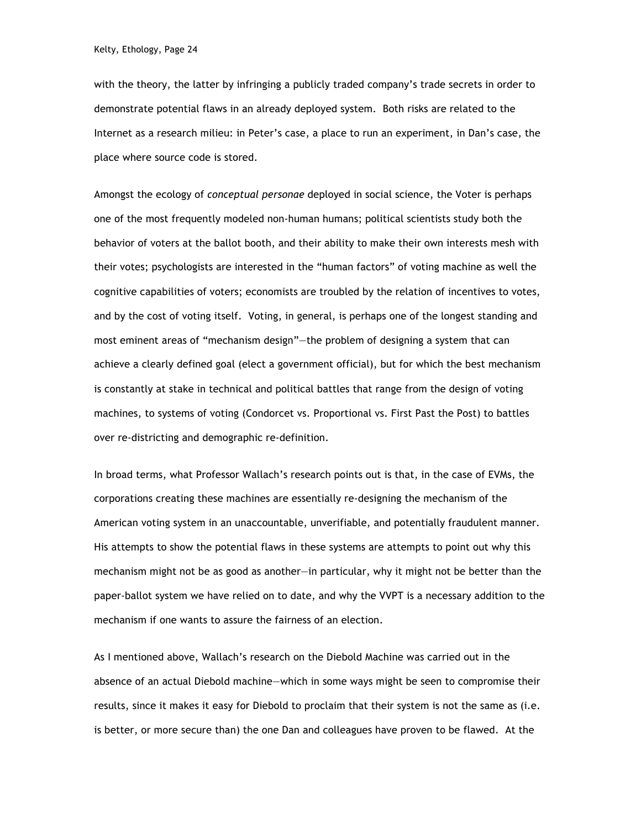with the theory, the latter by infringing a publicly traded company's trade secrets in order to demonstrate potential flaws in an already deployed system. Both risks are related to the Internet as a research milieu: in Peter's case, a place to run an experiment, in Dan's case, the place where source code is stored.

Amongst the ecology of *conceptual personae* deployed in social science, the Voter is perhaps one of the most frequently modeled non-human humans; political scientists study both the behavior of voters at the ballot booth, and their ability to make their own interests mesh with their votes; psychologists are interested in the "human factors" of voting machine as well the cognitive capabilities of voters; economists are troubled by the relation of incentives to votes, and by the cost of voting itself. Voting, in general, is perhaps one of the longest standing and most eminent areas of "mechanism design"—the problem of designing a system that can achieve a clearly defined goal (elect a government official), but for which the best mechanism is constantly at stake in technical and political battles that range from the design of voting machines, to systems of voting (Condorcet vs. Proportional vs. First Past the Post) to battles over re-districting and demographic re-definition.

In broad terms, what Professor Wallach's research points out is that, in the case of EVMs, the corporations creating these machines are essentially re-designing the mechanism of the American voting system in an unaccountable, unverifiable, and potentially fraudulent manner. His attempts to show the potential flaws in these systems are attempts to point out why this mechanism might not be as good as another—in particular, why it might not be better than the paper-ballot system we have relied on to date, and why the VVPT is a necessary addition to the mechanism if one wants to assure the fairness of an election.

As I mentioned above, Wallach's research on the Diebold Machine was carried out in the absence of an actual Diebold machine—which in some ways might be seen to compromise their results, since it makes it easy for Diebold to proclaim that their system is not the same as (i.e. is better, or more secure than) the one Dan and colleagues have proven to be flawed. At the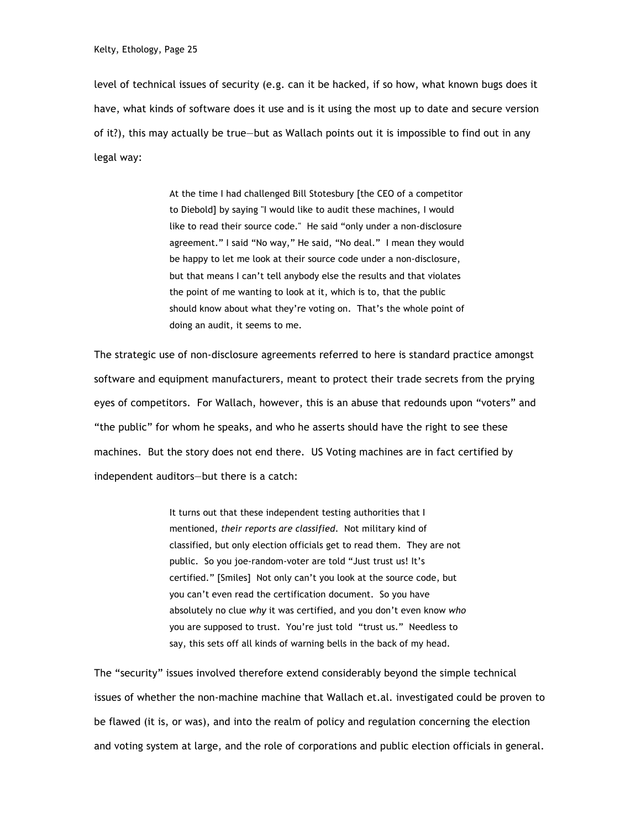level of technical issues of security (e.g. can it be hacked, if so how, what known bugs does it have, what kinds of software does it use and is it using the most up to date and secure version of it?), this may actually be true—but as Wallach points out it is impossible to find out in any legal way:

> At the time I had challenged Bill Stotesbury [the CEO of a competitor to Diebold] by saying "I would like to audit these machines, I would like to read their source code." He said "only under a non-disclosure agreement." I said "No way," He said, "No deal." I mean they would be happy to let me look at their source code under a non-disclosure, but that means I can't tell anybody else the results and that violates the point of me wanting to look at it, which is to, that the public should know about what they're voting on. That's the whole point of doing an audit, it seems to me.

The strategic use of non-disclosure agreements referred to here is standard practice amongst software and equipment manufacturers, meant to protect their trade secrets from the prying eyes of competitors. For Wallach, however, this is an abuse that redounds upon "voters" and "the public" for whom he speaks, and who he asserts should have the right to see these machines. But the story does not end there. US Voting machines are in fact certified by independent auditors—but there is a catch:

> It turns out that these independent testing authorities that I mentioned, *their reports are classified*. Not military kind of classified, but only election officials get to read them. They are not public. So you joe-random-voter are told "Just trust us! It's certified." [Smiles] Not only can't you look at the source code, but you can't even read the certification document. So you have absolutely no clue *why* it was certified, and you don't even know *who* you are supposed to trust. You're just told "trust us." Needless to say, this sets off all kinds of warning bells in the back of my head.

The "security" issues involved therefore extend considerably beyond the simple technical issues of whether the non-machine machine that Wallach et.al. investigated could be proven to be flawed (it is, or was), and into the realm of policy and regulation concerning the election and voting system at large, and the role of corporations and public election officials in general.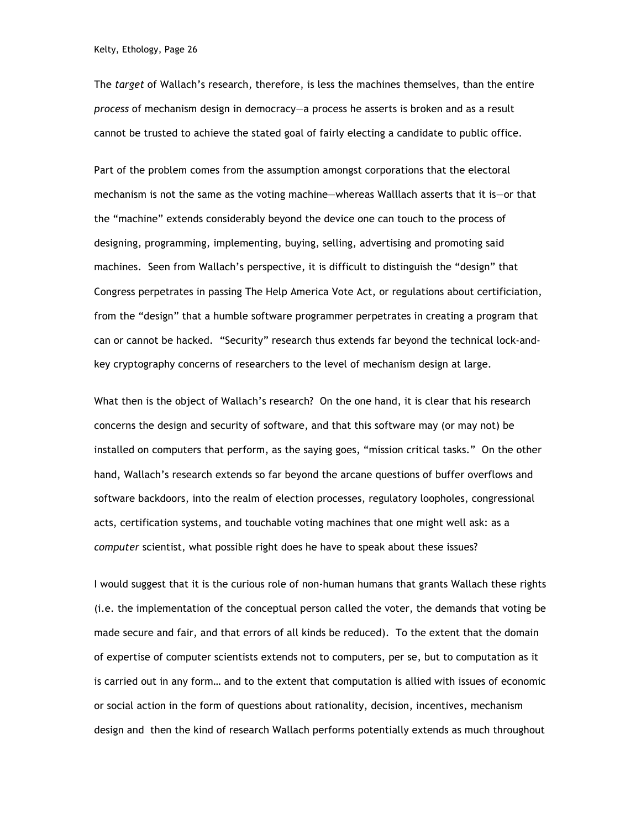The *target* of Wallach's research, therefore, is less the machines themselves, than the entire *process* of mechanism design in democracy—a process he asserts is broken and as a result cannot be trusted to achieve the stated goal of fairly electing a candidate to public office.

Part of the problem comes from the assumption amongst corporations that the electoral mechanism is not the same as the voting machine—whereas Walllach asserts that it is—or that the "machine" extends considerably beyond the device one can touch to the process of designing, programming, implementing, buying, selling, advertising and promoting said machines. Seen from Wallach's perspective, it is difficult to distinguish the "design" that Congress perpetrates in passing The Help America Vote Act, or regulations about certificiation, from the "design" that a humble software programmer perpetrates in creating a program that can or cannot be hacked. "Security" research thus extends far beyond the technical lock-andkey cryptography concerns of researchers to the level of mechanism design at large.

What then is the object of Wallach's research? On the one hand, it is clear that his research concerns the design and security of software, and that this software may (or may not) be installed on computers that perform, as the saying goes, "mission critical tasks." On the other hand, Wallach's research extends so far beyond the arcane questions of buffer overflows and software backdoors, into the realm of election processes, regulatory loopholes, congressional acts, certification systems, and touchable voting machines that one might well ask: as a *computer* scientist, what possible right does he have to speak about these issues?

I would suggest that it is the curious role of non-human humans that grants Wallach these rights (i.e. the implementation of the conceptual person called the voter, the demands that voting be made secure and fair, and that errors of all kinds be reduced). To the extent that the domain of expertise of computer scientists extends not to computers, per se, but to computation as it is carried out in any form… and to the extent that computation is allied with issues of economic or social action in the form of questions about rationality, decision, incentives, mechanism design and then the kind of research Wallach performs potentially extends as much throughout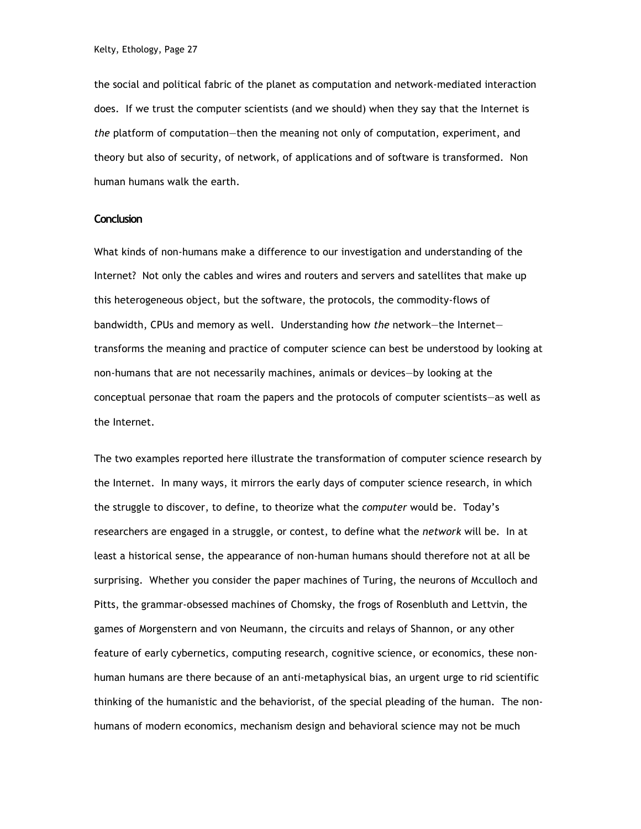the social and political fabric of the planet as computation and network-mediated interaction does. If we trust the computer scientists (and we should) when they say that the Internet is *the* platform of computation—then the meaning not only of computation, experiment, and theory but also of security, of network, of applications and of software is transformed. Non human humans walk the earth.

## **Conclusion**

What kinds of non-humans make a difference to our investigation and understanding of the Internet? Not only the cables and wires and routers and servers and satellites that make up this heterogeneous object, but the software, the protocols, the commodity-flows of bandwidth, CPUs and memory as well. Understanding how *the* network—the Internet transforms the meaning and practice of computer science can best be understood by looking at non-humans that are not necessarily machines, animals or devices—by looking at the conceptual personae that roam the papers and the protocols of computer scientists—as well as the Internet.

The two examples reported here illustrate the transformation of computer science research by the Internet. In many ways, it mirrors the early days of computer science research, in which the struggle to discover, to define, to theorize what the *computer* would be. Today's researchers are engaged in a struggle, or contest, to define what the *network* will be. In at least a historical sense, the appearance of non-human humans should therefore not at all be surprising. Whether you consider the paper machines of Turing, the neurons of Mcculloch and Pitts, the grammar-obsessed machines of Chomsky, the frogs of Rosenbluth and Lettvin, the games of Morgenstern and von Neumann, the circuits and relays of Shannon, or any other feature of early cybernetics, computing research, cognitive science, or economics, these nonhuman humans are there because of an anti-metaphysical bias, an urgent urge to rid scientific thinking of the humanistic and the behaviorist, of the special pleading of the human. The nonhumans of modern economics, mechanism design and behavioral science may not be much